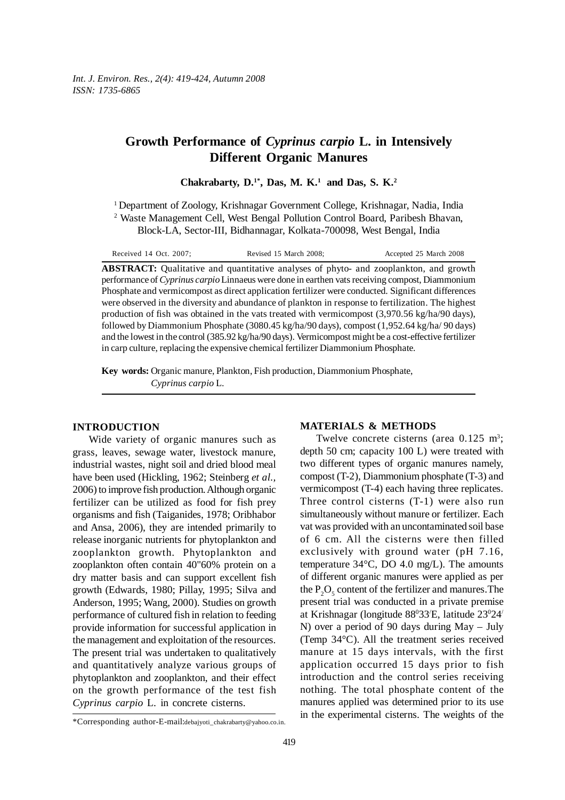# **Growth Performance of** *Cyprinus carpio* **L. in Intensively Different Organic Manures**

Chakrabarty, D.<sup>1\*</sup>, Das, M. K.<sup>1</sup> and Das, S. K.<sup>2</sup>

<sup>1</sup> Department of Zoology, Krishnagar Government College, Krishnagar, Nadia, India <sup>2</sup> Waste Management Cell, West Bengal Pollution Control Board, Paribesh Bhavan, Block-LA, Sector-III, Bidhannagar, Kolkata-700098, West Bengal, India

| Received 14 Oct. 2007; | Revised 15 March 2008;                                                              | Accepted 25 March 2008 |  |
|------------------------|-------------------------------------------------------------------------------------|------------------------|--|
|                        | $RSTPACT$ Qualitative and quantitative analyses of phyto and zooplankton, and growt |                        |  |

**ABSTRACT:** Qualitative and quantitative analyses of phyto- and zooplankton, and growth performance of *Cyprinus carpio* Linnaeus were done in earthen vats receiving compost, Diammonium Phosphate and vermicompost as direct application fertilizer were conducted. Significant differences were observed in the diversity and abundance of plankton in response to fertilization. The highest production of fish was obtained in the vats treated with vermicompost (3,970.56 kg/ha/90 days), followed by Diammonium Phosphate (3080.45 kg/ha/90 days), compost (1,952.64 kg/ha/ 90 days) and the lowest in the control (385.92 kg/ha/90 days). Vermicompost might be a cost-effective fertilizer in carp culture, replacing the expensive chemical fertilizer Diammonium Phosphate.

**Key words:** Organic manure, Plankton, Fish production, Diammonium Phosphate, *Cyprinus carpio* L.

### **INTRODUCTION**

Wide variety of organic manures such as grass, leaves, sewage water, livestock manure, industrial wastes, night soil and dried blood meal have been used (Hickling, 1962; Steinberg *et al.,* 2006) to improve fish production. Although organic fertilizer can be utilized as food for fish prey organisms and fish (Taiganides, 1978; Oribhabor and Ansa, 2006), they are intended primarily to release inorganic nutrients for phytoplankton and zooplankton growth. Phytoplankton and zooplankton often contain 40"60% protein on a dry matter basis and can support excellent fish growth (Edwards, 1980; Pillay, 1995; Silva and Anderson, 1995; Wang, 2000). Studies on growth performance of cultured fish in relation to feeding provide information for successful application in the management and exploitation of the resources. The present trial was undertaken to qualitatively and quantitatively analyze various groups of phytoplankton and zooplankton, and their effect on the growth performance of the test fish *Cyprinus carpio* L. in concrete cisterns.

#### **MATERIALS & METHODS**

Twelve concrete cisterns (area  $0.125 \text{ m}^3$ ; depth 50 cm; capacity 100 L) were treated with two different types of organic manures namely, compost (T-2), Diammonium phosphate (T-3) and vermicompost (T-4) each having three replicates. Three control cisterns (T-1) were also run simultaneously without manure or fertilizer. Each vat was provided with an uncontaminated soil base of 6 cm. All the cisterns were then filled exclusively with ground water (pH 7.16, temperature 34°C, DO 4.0 mg/L). The amounts of different organic manures were applied as per the  $P_2O_5$  content of the fertilizer and manures. The present trial was conducted in a private premise at Krishnagar (longitude 880 33/ E, latitude 230 24/ N) over a period of 90 days during May – July (Temp 34°C). All the treatment series received manure at 15 days intervals, with the first application occurred 15 days prior to fish introduction and the control series receiving nothing. The total phosphate content of the manures applied was determined prior to its use in the experimental cisterns. The weights of the

<sup>\*</sup>Corresponding author-E-mail:debajyoti\_chakrabarty@yahoo.co.in.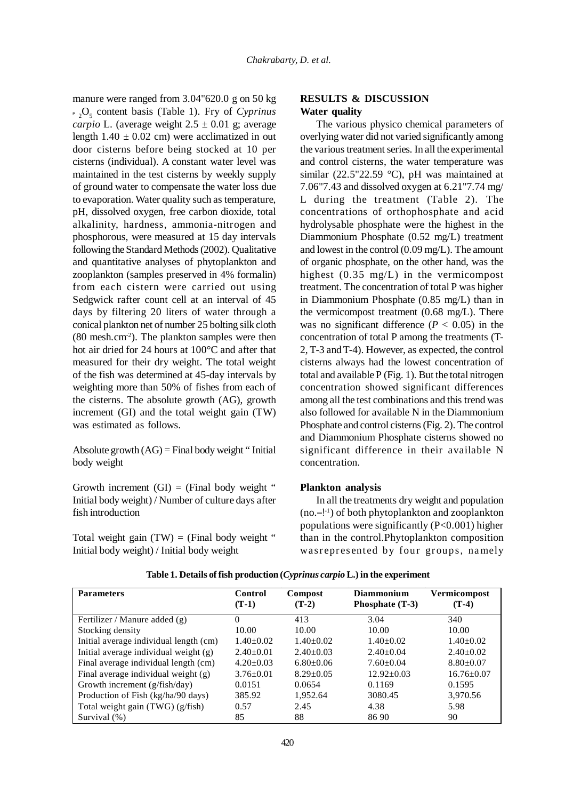manure were ranged from 3.04"620.0 g on 50 kg **P** 2 O5 content basis (Table 1). Fry of *Cyprinus carpio* L. (average weight  $2.5 \pm 0.01$  g; average length  $1.40 \pm 0.02$  cm) were acclimatized in out door cisterns before being stocked at 10 per cisterns (individual). A constant water level was maintained in the test cisterns by weekly supply of ground water to compensate the water loss due to evaporation. Water quality such as temperature, pH, dissolved oxygen, free carbon dioxide, total alkalinity, hardness, ammonia-nitrogen and phosphorous, were measured at 15 day intervals following the Standard Methods (2002). Qualitative and quantitative analyses of phytoplankton and zooplankton (samples preserved in 4% formalin) from each cistern were carried out using Sedgwick rafter count cell at an interval of 45 days by filtering 20 liters of water through a conical plankton net of number 25 bolting silk cloth (80 mesh.cm-2). The plankton samples were then hot air dried for 24 hours at 100°C and after that measured for their dry weight. The total weight of the fish was determined at 45-day intervals by weighting more than 50% of fishes from each of the cisterns. The absolute growth (AG), growth increment (GI) and the total weight gain (TW) was estimated as follows.

Absolute growth  $(AG)$  = Final body weight "Initial body weight

Growth increment  $(GI) = (Final body weight "$ Initial body weight) / Number of culture days after fish introduction

Total weight gain  $(TW) = (Final body weight "$ Initial body weight) / Initial body weight

# **RESULTS & DISCUSSION Water quality**

The various physico chemical parameters of overlying water did not varied significantly among the various treatment series. In all the experimental and control cisterns, the water temperature was similar (22.5"22.59 °C), pH was maintained at 7.06"7.43 and dissolved oxygen at 6.21"7.74 mg/ L during the treatment (Table 2). The concentrations of orthophosphate and acid hydrolysable phosphate were the highest in the Diammonium Phosphate (0.52 mg/L) treatment and lowest in the control (0.09 mg/L). The amount of organic phosphate, on the other hand, was the highest (0.35 mg/L) in the vermicompost treatment. The concentration of total P was higher in Diammonium Phosphate (0.85 mg/L) than in the vermicompost treatment (0.68 mg/L). There was no significant difference ( $P < 0.05$ ) in the concentration of total P among the treatments (T-2, T-3 and T-4). However, as expected, the control cisterns always had the lowest concentration of total and available P (Fig. 1). But the total nitrogen concentration showed significant differences among all the test combinations and this trend was also followed for available N in the Diammonium Phosphate and control cisterns (Fig. 2). The control and Diammonium Phosphate cisterns showed no significant difference in their available N concentration.

## **Plankton analysis**

In all the treatments dry weight and population (no.–!-1) of both phytoplankton and zooplankton populations were significantly  $(P<0.001)$  higher than in the control.Phytoplankton composition wasrepresented by four groups, namely

| <b>Parameters</b>                      | Control<br>$(T-1)$ | Compost<br>$(T-2)$ | <b>Diammonium</b><br>Phosphate (T-3) | Vermicompost<br>$(T-4)$ |
|----------------------------------------|--------------------|--------------------|--------------------------------------|-------------------------|
| Fertilizer / Manure added (g)          | 0                  | 413                | 3.04                                 | 340                     |
| Stocking density                       | 10.00              | 10.00              | 10.00                                | 10.00                   |
| Initial average individual length (cm) | $1.40 \pm 0.02$    | $1.40 \pm 0.02$    | $1.40+0.02$                          | $1.40 \pm 0.02$         |
| Initial average individual weight (g)  | $2.40 \pm 0.01$    | $2.40 \pm 0.03$    | $2.40+0.04$                          | $2.40 \pm 0.02$         |
| Final average individual length (cm)   | $4.20 \pm 0.03$    | $6.80+0.06$        | $7.60 \pm 0.04$                      | $8.80 \pm 0.07$         |
| Final average individual weight $(g)$  | $3.76 \pm 0.01$    | $8.29 \pm 0.05$    | $12.92 \pm 0.03$                     | $16.76 \pm 0.07$        |
| Growth increment (g/fish/day)          | 0.0151             | 0.0654             | 0.1169                               | 0.1595                  |
| Production of Fish (kg/ha/90 days)     | 385.92             | 1,952.64           | 3080.45                              | 3,970.56                |
| Total weight gain (TWG) (g/fish)       | 0.57               | 2.45               | 4.38                                 | 5.98                    |
| Survival (%)                           | 85                 | 88                 | 86 90                                | 90                      |

#### **Table 1. Details of fish production (***Cyprinus carpio* **L.) in the experiment**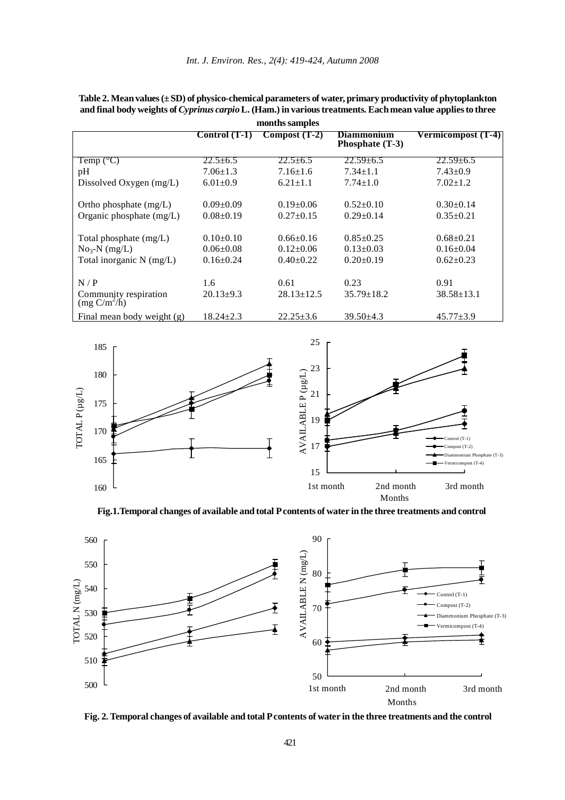| months samples                          |                 |                  |                                      |                    |  |  |  |
|-----------------------------------------|-----------------|------------------|--------------------------------------|--------------------|--|--|--|
|                                         | Control $(T-1)$ | $Compost(T-2)$   | <b>Diammonium</b><br>Phosphate (T-3) | Vermicompost (T-4) |  |  |  |
| Temp $(^{\circ}C)$                      | $22.5 \pm 6.5$  | $22.5 \pm 6.5$   | $22.59 \pm 6.5$                      | $22.59 \pm 6.5$    |  |  |  |
| pH                                      | $7.06 \pm 1.3$  | $7.16 \pm 1.6$   | $7.34 \pm 1.1$                       | $7.43 \pm 0.9$     |  |  |  |
| Dissolved Oxygen (mg/L)                 | $6.01 \pm 0.9$  | $6.21 \pm 1.1$   | $7.74 \pm 1.0$                       | $7.02 \pm 1.2$     |  |  |  |
| Ortho phosphate (mg/L)                  | $0.09+0.09$     | $0.19 \pm 0.06$  | $0.52 \pm 0.10$                      | $0.30+0.14$        |  |  |  |
| Organic phosphate (mg/L)                | $0.08 \pm 0.19$ | $0.27+0.15$      | $0.29 \pm 0.14$                      | $0.35 \pm 0.21$    |  |  |  |
| Total phosphate (mg/L)                  | $0.10+0.10$     | $0.66 \pm 0.16$  | $0.85 \pm 0.25$                      | $0.68 \pm 0.21$    |  |  |  |
| $No3-N$ (mg/L)                          | $0.06 \pm 0.08$ | $0.12{\pm}0.06$  | $0.13 \pm 0.03$                      | $0.16 \pm 0.04$    |  |  |  |
| Total inorganic N (mg/L)                | $0.16 \pm 0.24$ | $0.40+0.22$      | $0.20 \pm 0.19$                      | $0.62+0.23$        |  |  |  |
| N/P                                     | 1.6             | 0.61             | 0.23                                 | 0.91               |  |  |  |
| Community respiration<br>$(mg C/m^2/h)$ | $20.13 \pm 9.3$ | $28.13 \pm 12.5$ | $35.79 \pm 18.2$                     | $38.58 \pm 13.1$   |  |  |  |
| Final mean body weight $(g)$            | $18.24 + 2.3$   | $22.25 + 3.6$    | $39.50 \pm 4.3$                      | $45.77 \pm 3.9$    |  |  |  |

**Table 2. Mean values (± SD) of physico-chemical parameters of water, primary productivity of phytoplankton and final body weights of** *Cyprinus carpio* **L. (Ham.) in various treatments. Each mean value applies to three**



**Fig.1.Temporal changes of available and total P contents of water in the three treatments and control**



**Fig. 2. Temporal changes of available and total P contents of water in the three treatments and the control**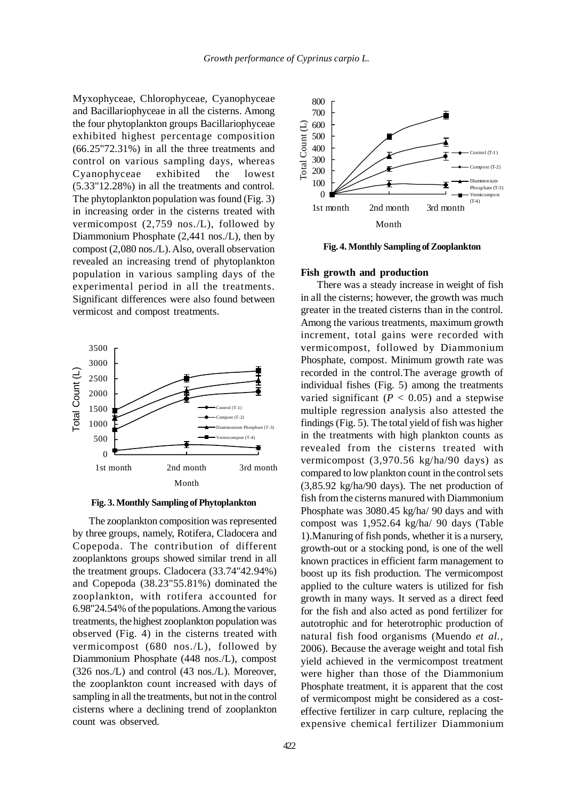Myxophyceae, Chlorophyceae, Cyanophyceae and Bacillariophyceae in all the cisterns. Among the four phytoplankton groups Bacillariophyceae exhibited highest percentage composition (66.25"72.31%) in all the three treatments and control on various sampling days, whereas Cyanophyceae exhibited the lowest (5.33"12.28%) in all the treatments and control. The phytoplankton population was found (Fig. 3) in increasing order in the cisterns treated with vermicompost (2,759 nos./L), followed by Diammonium Phosphate (2,441 nos./L), then by compost (2,080 nos./L). Also, overall observation revealed an increasing trend of phytoplankton population in various sampling days of the experimental period in all the treatments. Significant differences were also found between vermicost and compost treatments.



**Fig. 3. Monthly Sampling of Phytoplankton**

The zooplankton composition was represented by three groups, namely, Rotifera, Cladocera and Copepoda. The contribution of different zooplanktons groups showed similar trend in all the treatment groups. Cladocera (33.74"42.94%) and Copepoda (38.23"55.81%) dominated the zooplankton, with rotifera accounted for 6.98"24.54% of the populations. Among the various treatments, the highest zooplankton population was observed (Fig. 4) in the cisterns treated with vermicompost (680 nos./L), followed by Diammonium Phosphate (448 nos./L), compost (326 nos./L) and control (43 nos./L). Moreover, the zooplankton count increased with days of sampling in all the treatments, but not in the control cisterns where a declining trend of zooplankton count was observed.



**Fig. 4. Monthly Sampling of Zooplankton**

#### **Fish growth and production**

There was a steady increase in weight of fish in all the cisterns; however, the growth was much greater in the treated cisterns than in the control. Among the various treatments, maximum growth increment, total gains were recorded with vermicompost, followed by Diammonium Phosphate, compost. Minimum growth rate was recorded in the control.The average growth of individual fishes (Fig. 5) among the treatments varied significant  $(P < 0.05)$  and a stepwise multiple regression analysis also attested the findings (Fig. 5). The total yield of fish was higher in the treatments with high plankton counts as revealed from the cisterns treated with vermicompost (3,970.56 kg/ha/90 days) as compared to low plankton count in the control sets (3,85.92 kg/ha/90 days). The net production of fish from the cisterns manured with Diammonium Phosphate was 3080.45 kg/ha/ 90 days and with compost was 1,952.64 kg/ha/ 90 days (Table 1).Manuring of fish ponds, whether it is a nursery, growth-out or a stocking pond, is one of the well known practices in efficient farm management to boost up its fish production. The vermicompost applied to the culture waters is utilized for fish growth in many ways. It served as a direct feed for the fish and also acted as pond fertilizer for autotrophic and for heterotrophic production of natural fish food organisms (Muendo *et al.,* 2006). Because the average weight and total fish yield achieved in the vermicompost treatment were higher than those of the Diammonium Phosphate treatment, it is apparent that the cost of vermicompost might be considered as a costeffective fertilizer in carp culture, replacing the expensive chemical fertilizer Diammonium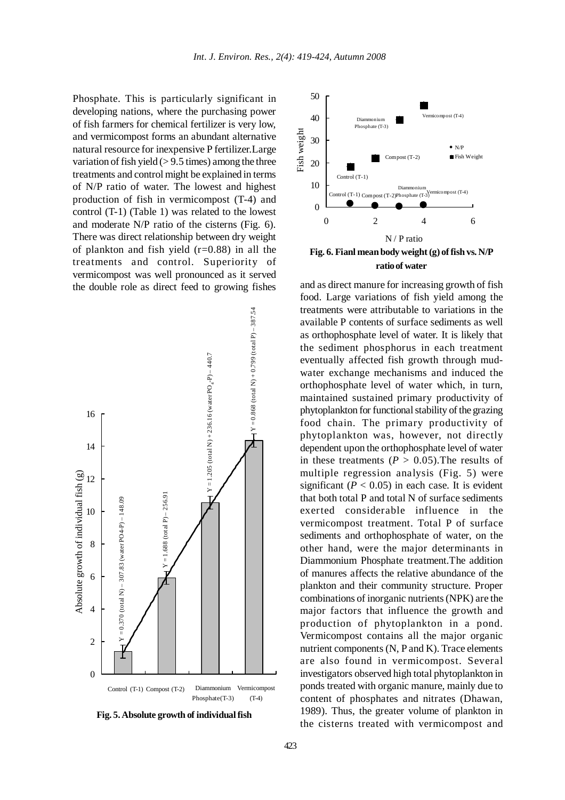Phosphate. This is particularly significant in developing nations, where the purchasing power of fish farmers for chemical fertilizer is very low, and vermicompost forms an abundant alternative natural resource for inexpensive P fertilizer.Large variation of fish yield  $(> 9.5$  times) among the three treatments and control might be explained in terms of N/P ratio of water. The lowest and highest production of fish in vermicompost (T-4) and control (T-1) (Table 1) was related to the lowest and moderate N/P ratio of the cisterns (Fig. 6). There was direct relationship between dry weight of plankton and fish yield  $(r=0.88)$  in all the treatments and control. Superiority of vermicompost was well pronounced as it served the double role as direct feed to growing fishes and as direct manure for increasing growth of fish



**Fig. 5. Absolute growth of individual fish**



food. Large variations of fish yield among the treatments were attributable to variations in the available P contents of surface sediments as well as orthophosphate level of water. It is likely that the sediment phosphorus in each treatment eventually affected fish growth through mudwater exchange mechanisms and induced the orthophosphate level of water which, in turn, maintained sustained primary productivity of phytoplankton for functional stability of the grazing food chain. The primary productivity of phytoplankton was, however, not directly dependent upon the orthophosphate level of water in these treatments  $(P > 0.05)$ . The results of multiple regression analysis (Fig. 5) were significant  $(P < 0.05)$  in each case. It is evident that both total P and total N of surface sediments exerted considerable influence in the vermicompost treatment. Total P of surface sediments and orthophosphate of water, on the other hand, were the major determinants in Diammonium Phosphate treatment.The addition of manures affects the relative abundance of the plankton and their community structure. Proper combinations of inorganic nutrients (NPK) are the major factors that influence the growth and production of phytoplankton in a pond. Vermicompost contains all the major organic nutrient components (N, P and K). Trace elements are also found in vermicompost. Several investigators observed high total phytoplankton in ponds treated with organic manure, mainly due to content of phosphates and nitrates (Dhawan, 1989). Thus, the greater volume of plankton in the cisterns treated with vermicompost and